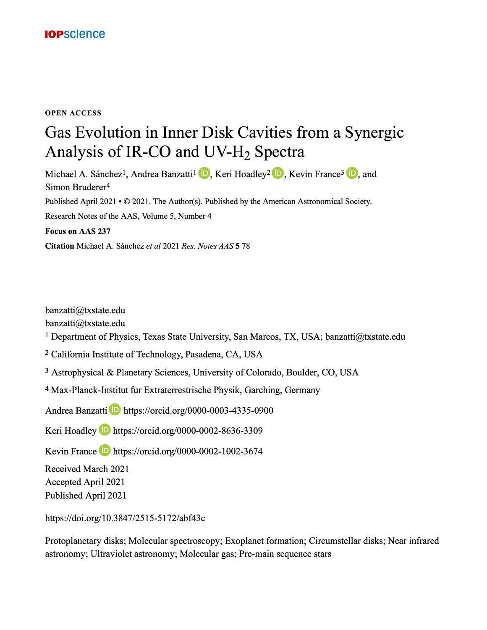

#### **OPEN ACCESS**

# Gas Evolution in Inner Disk Cavities from a Synergic Analysis of IR-CO and  $UV-H_2$  Spectra

Michael A. Sánchez<sup>1</sup>, Andrea Banzatti<sup>1</sup> **D**, Keri Hoadley<sup>2</sup> **D**, Kevin France<sup>3</sup> **D**, and Simon Bruderer4 Published April 2021 • © 2021. The Author(s). Published by the American Astronomical Society. Research Notes of the AAS, Volume 5, Number 4 **Focus on AAS 237 Citation** Michael A. Sanchez *et al* 2021 *Res. Notes AAS* **5** 78

banzatti@txstate.edu

banzatti@txstate.edu

<sup>1</sup> Department of Physics, Texas State University, San Marcos, TX, USA; banzatti@txstate.edu

2 California Institute of Technology, Pasadena, CA, USA

3 Astrophysical & Planetary Sciences, University of Colorado, Boulder, CO, USA

4 Max-Planck-Institut fur Extraterrestrische Physik, Garching, Germany

Andrea Banzatti **49** https://orcid.org/0000-0003-4335-0900

Keri Hoadley **49** https://orcid.org/0000-0002-8636-3309

Kevin France **e** https://orcid.org/0000-0002-1002-3674

Received March 2021

Accepted April 2021

Published April 2021

https://doi.org/10.3847/2515-5172/abf43c

Protoplanetary disks; Molecular spectroscopy; Exoplanet formation; Circumstellar disks; Near infrared astronomy; Ultraviolet astronomy; Molecular gas; Pre-main sequence stars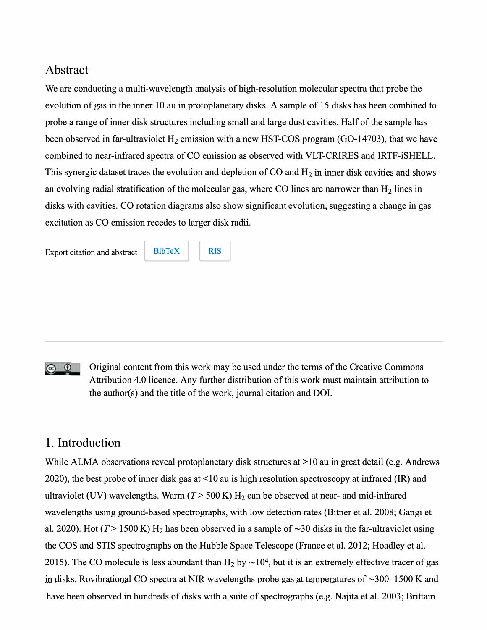### Abstract

We are conducting a multi-wavelength analysis of high-resolution molecular spectra that probe the evolution of gas in the inner 10 au in protoplanetary disks. A sample of 15 disks has been combined to probe a range of inner disk structures including small and large dust cavities. Half of the sample has been observed in far-ultraviolet  $H_2$  emission with a new HST-COS program (GO-14703), that we have combined to near-infrared spectra of CO emission as observed with VLT-CRIRES and IRTF-iSHELL. This synergic dataset traces the evolution and depletion of CO and  $H_2$  in inner disk cavities and shows an evolving radial stratification of the molecular gas, where CO lines are narrower than  $H_2$  lines in disks with cavities. CO rotation diagrams also show significant evolution, suggesting a change in gas excitation as CO emission recedes to larger disk radii.

Export citation and abstract BibTeX RIS

#### Original content from this work may be used under the terms of the Creative Commons <u>ෙ ග</u> Attribution 4.0 licence. Any further distribution of this work must maintain attribution to the author(s) and the title of the work, journal citation and DOI.

## 1. Introduction

While ALMA observations reveal protoplanetary disk structures at >10 au in great detail (e.g. Andrews 2020), the best probe of inner disk gas at <10 au is high resolution spectroscopy at infrared (IR) and ultraviolet (UV) wavelengths. Warm  $(T > 500 \text{ K})$  H<sub>2</sub> can be observed at near- and mid-infrared wavelengths using ground-based spectrographs, with low detection rates (Bitner et al. 2008; Gangi et al. 2020). Hot ( $T > 1500$  K) H<sub>2</sub> has been observed in a sample of  $\sim$ 30 disks in the far-ultraviolet using the COS and STIS spectrographs on the Hubble Space Telescope (France et al. 2012; Hoadley et al. 2015). The CO molecule is less abundant than  $H_2$  by  $\sim 10^4$ , but it is an extremely effective tracer of gas in disks. Rovibrational CO spectra at NIR wavelengths probe gas at temperatures of  $\sim$ 300–1500 K and have been observed in hundreds of disks with a suite of spectrographs (e.g. Najita et al. 2003; Brittain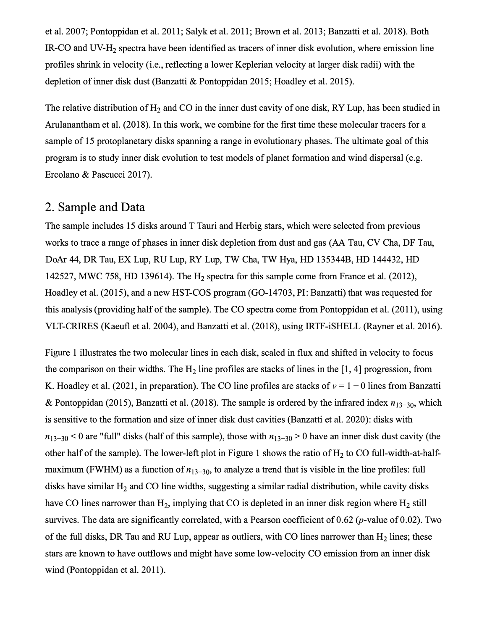et al. 2007; Pontoppidan et al. 2011; Salyk et al. 2011; Brown et al. 2013; Banzatti et al. 2018). Both IR-CO and UV-H2 spectra have been identified as tracers of inner disk evolution, where emission line profiles shrink in velocity (i.e., reflecting a lower Keplerian velocity at larger disk radii) with the depletion of inner disk dust (Banzatti & Pontoppidan 2015; Hoadley et al. 2015).

The relative distribution of  $H_2$  and CO in the inner dust cavity of one disk, RY Lup, has been studied in Arulanantham et al. (2018). In this work, we combine for the first time these molecular tracers for a sample of 15 protoplanetary disks spanning a range in evolutionary phases. The ultimate goal of this program is to study inner disk evolution to test models of planet formation and wind dispersal (e.g. Ercolano & Pascucci 2017).

## 2. Sample and Data

The sample includes 15 disks around T Tauri and Herbig stars, which were selected from previous works to trace a range of phases in inner disk depletion from dust and gas (AA Tau, CV Cha, DF Tau, DoAr 44, DR Tau, EX Lup, RU Lup, RY Lup, TW Cha, TW Hya, HD 135344B, HD 144432, HD 142527, MWC 758, HD 139614). The  $H<sub>2</sub>$  spectra for this sample come from France et al. (2012), Hoadley et al. (2015), and a new HST-COS program (GO-14703, PI: Banzatti) that was requested for this analysis (providing half of the sample). The CO spectra come from Pontoppidan et al. (2011 ), using VLT-CRIRES (Kaeufl et al. 2004), and Banzatti et al. (2018), using IRTF-iSHELL (Rayner et al. 2016).

Figure 1 illustrates the two molecular lines in each disk, scaled in flux and shifted in velocity to focus the comparison on their widths. The  $H_2$  line profiles are stacks of lines in the [1, 4] progression, from K. Hoadley et al. (2021, in preparation). The CO line profiles are stacks of  $v = 1 - 0$  lines from Banzatti & Pontoppidan (2015), Banzatti et al. (2018). The sample is ordered by the infrared index  $n_{13-30}$ , which is sensitive to the formation and size of inner disk dust cavities (Banzatti et al. 2020): disks with  $n_{13-30}$  < 0 are "full" disks (half of this sample), those with  $n_{13-30}$  > 0 have an inner disk dust cavity (the other half of the sample). The lower-left plot in Figure 1 shows the ratio of  $H_2$  to CO full-width-at-halfmaximum (FWHM) as a function of  $n_{13-30}$ , to analyze a trend that is visible in the line profiles: full disks have similar  $H_2$  and CO line widths, suggesting a similar radial distribution, while cavity disks have CO lines narrower than  $H_2$ , implying that CO is depleted in an inner disk region where  $H_2$  still survives. The data are significantly correlated, with a Pearson coefficient of  $0.62$  (*p*-value of  $0.02$ ). Two of the full disks, DR Tau and RU Lup, appear as outliers, with CO lines narrower than  $H_2$  lines; these stars are known to have outflows and might have some low-velocity CO emission from an inner disk wind (Pontoppidan et al. 2011).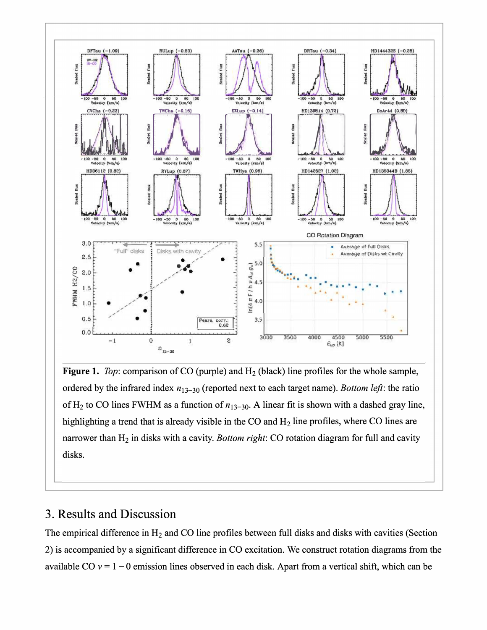

**Figure 1.** *Top:* comparison of CO (purple) and H<sub>2</sub> (black) line profiles for the whole sample, ordered by the infrared index  $n_{13-30}$  (reported next to each target name). *Bottom left*: the ratio of H<sub>2</sub> to CO lines FWHM as a function of  $n_{13-30}$ . A linear fit is shown with a dashed gray line, highlighting a trend that is already visible in the CO and  $H_2$  line profiles, where CO lines are narrower than H2 in disks with a cavity. *Bottom right:* CO rotation diagram for full and cavity disks.

## 3. Results and Discussion

The empirical difference in  $H_2$  and CO line profiles between full disks and disks with cavities (Section 2) is accompanied by a significant difference in CO excitation. We construct rotation diagrams from the available CO  $v = 1 - 0$  emission lines observed in each disk. Apart from a vertical shift, which can be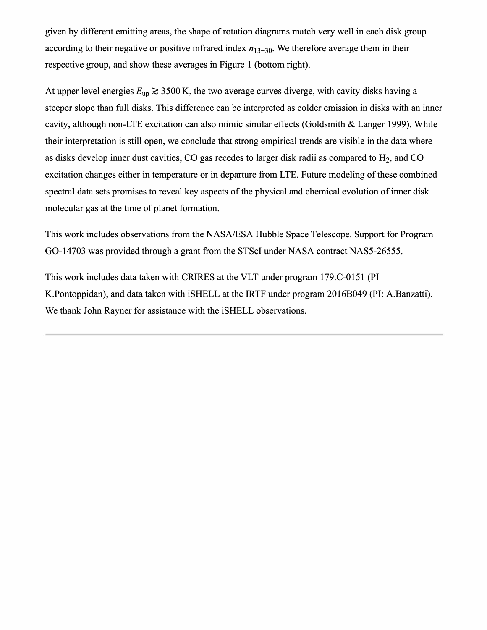given by different emitting areas, the shape of rotation diagrams match very well in each disk group according to their negative or positive infrared index  $n_{13-30}$ . We therefore average them in their respective group, and show these averages in Figure 1 (bottom right).

At upper level energies  $E_{\text{up}} \geq 3500 \text{ K}$ , the two average curves diverge, with cavity disks having a steeper slope than full disks. This difference can be interpreted as colder emission in disks with an inner cavity, although non-LTE excitation can also mimic similar effects (Goldsmith & Langer 1999). While their interpretation is still open, we conclude that strong empirical trends are visible in the data where as disks develop inner dust cavities, CO gas recedes to larger disk radii as compared to  $H_2$ , and CO excitation changes either in temperature or in departure from LTE. Future modeling of these combined spectral data sets promises to reveal key aspects of the physical and chemical evolution of inner disk molecular gas at the time of planet formation.

This work includes observations from the NASA/ESA Hubble Space Telescope. Support for Program GO-14703 was provided through a grant from the STScI under NASA contract NASS-26555.

This work includes data taken with CRIRES at the VLT under program 179.C-0151 (PI K.Pontoppidan), and data taken with iSHELL at the IRTF under program 2016B049 (PI: A.Banzatti). We thank John Rayner for assistance with the iSHELL observations.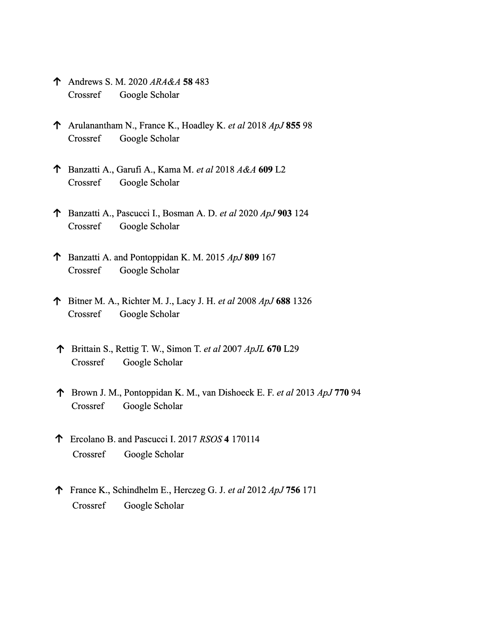- **1'** Andrews S. M. 2020 *ARA&A* **58** 483 Crossref Google Scholar
- **1'** Arulanantham N., France K., Hoadley K. *et al* 2018 *ApJ855* 98 Crossref Google Scholar
- **1'** Banzatti A., Garufi A., Kama M. *et al* 2018 *A&A* **609** L2 Crossref Google Scholar
- **1'** Banzatti A., Pascucci I., Bosman A. D. *et al* 2020 *ApJ903* 124 Crossref Google Scholar
- **1'** Banzatti A. and Pontoppidan K. M. 2015 *ApJ809* 167 Crossref Google Scholar
- **1'** Bitner M. A., Richter M. J., Lacy J. H. *et al* 2008 *ApJ* **688** 1326 Crossref Google Scholar
- **1'** Brittain S., Rettig T. W., Simon T. *et al* 2007 *ApJL* **670** L29 Crossref Google Scholar
- **1'** Brown J.M., Pontoppidan K. M., van Dishoeck E. F. *et al* 2013 *ApJ710* 94 Crossref Google Scholar
- **1'** Ercolano B. and Pascucci I. 2017 *RSOS* 4 170114 Crossref Google Scholar
- **1'** France K., Schindhelm E., Herczeg G. J. *et al* 2012 *ApJ756* 171 Crossref Google Scholar